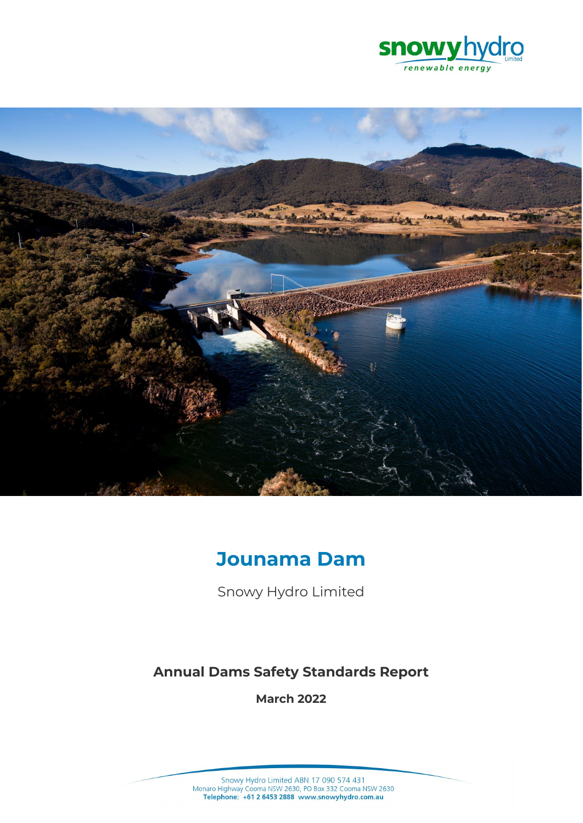



# **Jounama Dam**

Snowy Hydro Limited

# **Annual Dams Safety Standards Report**

**March 2022**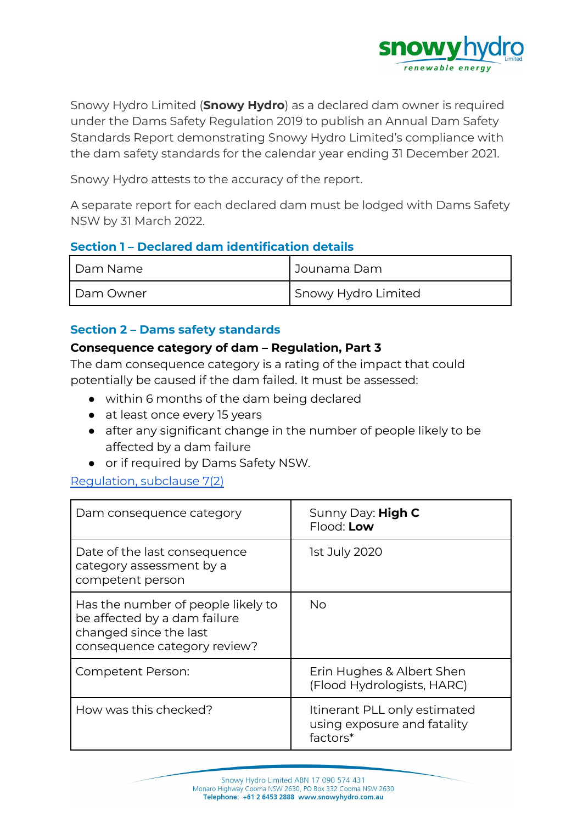

Snowy Hydro Limited (**Snowy Hydro**) as a declared dam owner is required under the Dams Safety Regulation 2019 to publish an Annual Dam Safety Standards Report demonstrating Snowy Hydro Limited's compliance with the dam safety standards for the calendar year ending 31 December 2021.

Snowy Hydro attests to the accuracy of the report.

A separate report for each declared dam must be lodged with Dams Safety NSW by 31 March 2022.

# **Section 1 – Declared dam identification details**

| Dam Name  | l Jounama Dam       |
|-----------|---------------------|
| Dam Owner | Snowy Hydro Limited |

# **Section 2 – Dams safety standards**

### **Consequence category of dam – Regulation, Part 3**

The dam consequence category is a rating of the impact that could potentially be caused if the dam failed. It must be assessed:

- within 6 months of the dam being declared
- at least once every 15 years
- after any significant change in the number of people likely to be affected by a dam failure
- or if required by Dams Safety NSW.

#### [Regulation,](https://legislation.nsw.gov.au/view/html/inforce/current/sl-2019-0506#sec.7) subclause 7(2)

| Dam consequence category                                                                                                     | Sunny Day: High C<br>Flood: Low                                         |
|------------------------------------------------------------------------------------------------------------------------------|-------------------------------------------------------------------------|
| Date of the last consequence<br>category assessment by a<br>competent person                                                 | 1st July 2020                                                           |
| Has the number of people likely to<br>be affected by a dam failure<br>changed since the last<br>consequence category review? | <b>No</b>                                                               |
| <b>Competent Person:</b>                                                                                                     | Erin Hughes & Albert Shen<br>(Flood Hydrologists, HARC)                 |
| How was this checked?                                                                                                        | Itinerant PLL only estimated<br>using exposure and fatality<br>factors* |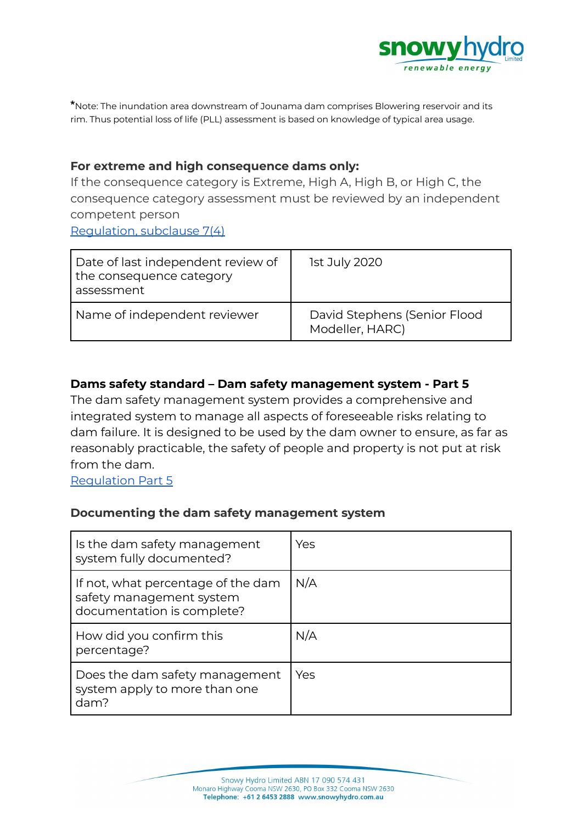

**\***Note: The inundation area downstream of Jounama dam comprises Blowering reservoir and its rim. Thus potential loss of life (PLL) assessment is based on knowledge of typical area usage.

# **For extreme and high consequence dams only:**

If the consequence category is Extreme, High A, High B, or High C, the consequence category assessment must be reviewed by an independent competent person [Regulation,](https://legislation.nsw.gov.au/view/html/inforce/current/sl-2019-0506#sec.7) subclause 7(4)

| Date of last independent review of<br>the consequence category<br>assessment | 1st July 2020                                   |
|------------------------------------------------------------------------------|-------------------------------------------------|
| Name of independent reviewer                                                 | David Stephens (Senior Flood<br>Modeller, HARC) |

# **Dams safety standard – Dam safety management system - Part 5**

The dam safety management system provides a comprehensive and integrated system to manage all aspects of foreseeable risks relating to dam failure. It is designed to be used by the dam owner to ensure, as far as reasonably practicable, the safety of people and property is not put at risk from the dam.

[Regulation](https://legislation.nsw.gov.au/view/html/inforce/current/sl-2019-0506#pt.5) Part 5

# **Documenting the dam safety management system**

| Is the dam safety management<br>system fully documented?                                     | Yes |
|----------------------------------------------------------------------------------------------|-----|
| If not, what percentage of the dam<br>safety management system<br>documentation is complete? | N/A |
| How did you confirm this<br>percentage?                                                      | N/A |
| Does the dam safety management<br>system apply to more than one<br>dam?                      | Yes |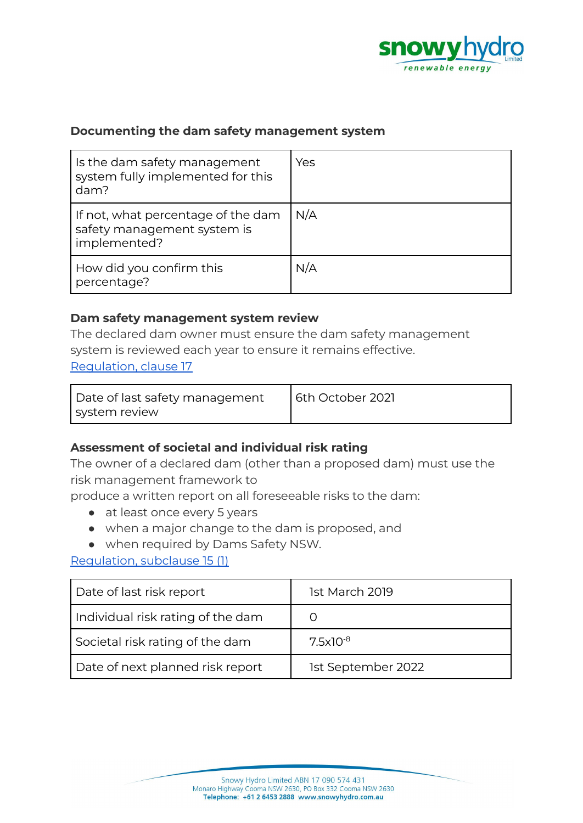

# **Documenting the dam safety management system**

| Is the dam safety management<br>system fully implemented for this<br>dam?         | Yes |
|-----------------------------------------------------------------------------------|-----|
| If not, what percentage of the dam<br>safety management system is<br>implemented? | N/A |
| How did you confirm this<br>percentage?                                           | N/A |

#### **Dam safety management system review**

The declared dam owner must ensure the dam safety management system is reviewed each year to ensure it remains effective. [Regulation,](https://legislation.nsw.gov.au/view/html/inforce/current/sl-2019-0506#sec.17) clause 17

| Date of last safety management | 6th October 2021 |
|--------------------------------|------------------|
| system review                  |                  |

# **Assessment of societal and individual risk rating**

The owner of a declared dam (other than a proposed dam) must use the risk management framework to

produce a written report on all foreseeable risks to the dam:

- at least once every 5 years
- when a major change to the dam is proposed, and
- when required by Dams Safety NSW.

[Regulation,](https://legislation.nsw.gov.au/view/html/inforce/current/sl-2019-0506#sec.15) subclause 15 (1)

| Date of last risk report          | 1st March 2019     |
|-----------------------------------|--------------------|
| Individual risk rating of the dam |                    |
| Societal risk rating of the dam   | $7.5x10^{-8}$      |
| Date of next planned risk report  | 1st September 2022 |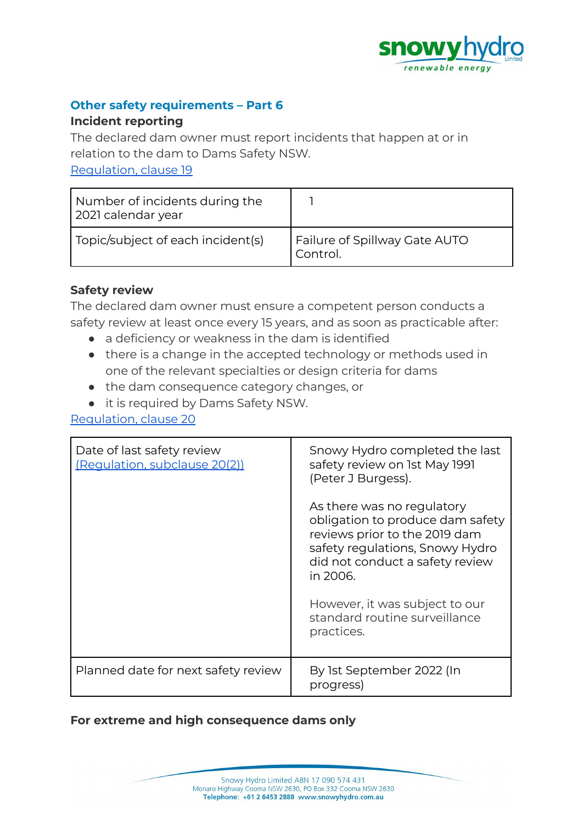

# **Other safety requirements – Part 6**

### **Incident reporting**

The declared dam owner must report incidents that happen at or in relation to the dam to Dams Safety NSW.

[Regulation,](https://legislation.nsw.gov.au/view/html/inforce/current/sl-2019-0506#sec.19) clause 19

| Number of incidents during the<br>2021 calendar year |                                           |
|------------------------------------------------------|-------------------------------------------|
| Topic/subject of each incident(s)                    | Failure of Spillway Gate AUTO<br>Control. |

# **Safety review**

The declared dam owner must ensure a competent person conducts a safety review at least once every 15 years, and as soon as practicable after:

- a deficiency or weakness in the dam is identified
- there is a change in the accepted technology or methods used in one of the relevant specialties or design criteria for dams
- the dam consequence category changes, or
- it is required by Dams Safety NSW.

[Regulation,](https://legislation.nsw.gov.au/view/html/inforce/current/sl-2019-0506#sec.20) clause 20

| Date of last safety review<br>(Requlation, subclause 20(2)) | Snowy Hydro completed the last<br>safety review on 1st May 1991<br>(Peter J Burgess).                                                                                             |
|-------------------------------------------------------------|-----------------------------------------------------------------------------------------------------------------------------------------------------------------------------------|
|                                                             | As there was no regulatory<br>obligation to produce dam safety<br>reviews prior to the 2019 dam<br>safety regulations, Snowy Hydro<br>did not conduct a safety review<br>in 2006. |
|                                                             | However, it was subject to our<br>standard routine surveillance<br>practices.                                                                                                     |
| Planned date for next safety review                         | By 1st September 2022 (In<br>progress)                                                                                                                                            |

# **For extreme and high consequence dams only**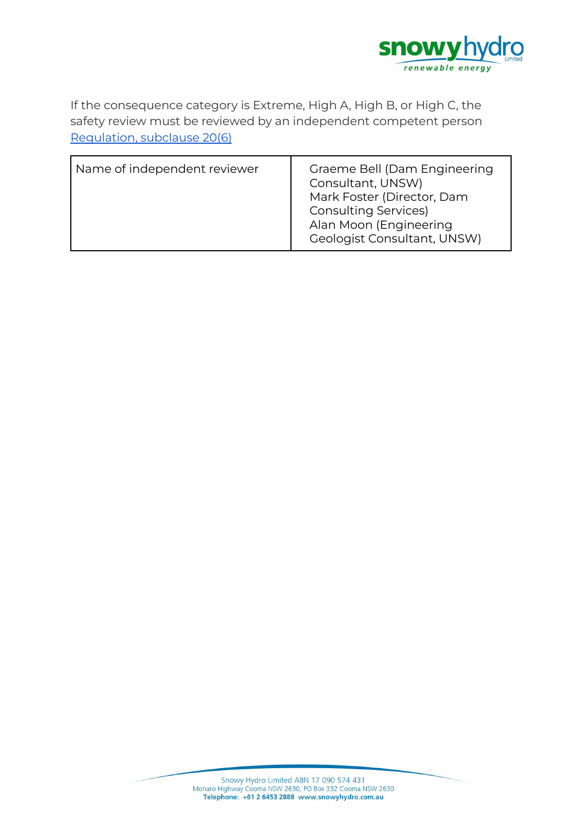

If the consequence category is Extreme, High A, High B, or High C, the safety review must be reviewed by an independent competent person [Regulation,](https://legislation.nsw.gov.au/view/html/inforce/current/sl-2019-0506#sec.7) subclause 20(6)

| Name of independent reviewer | Graeme Bell (Dam Engineering<br>Consultant, UNSW)<br>Mark Foster (Director, Dam<br><b>Consulting Services)</b><br>Alan Moon (Engineering<br>Geologist Consultant, UNSW) |
|------------------------------|-------------------------------------------------------------------------------------------------------------------------------------------------------------------------|
|------------------------------|-------------------------------------------------------------------------------------------------------------------------------------------------------------------------|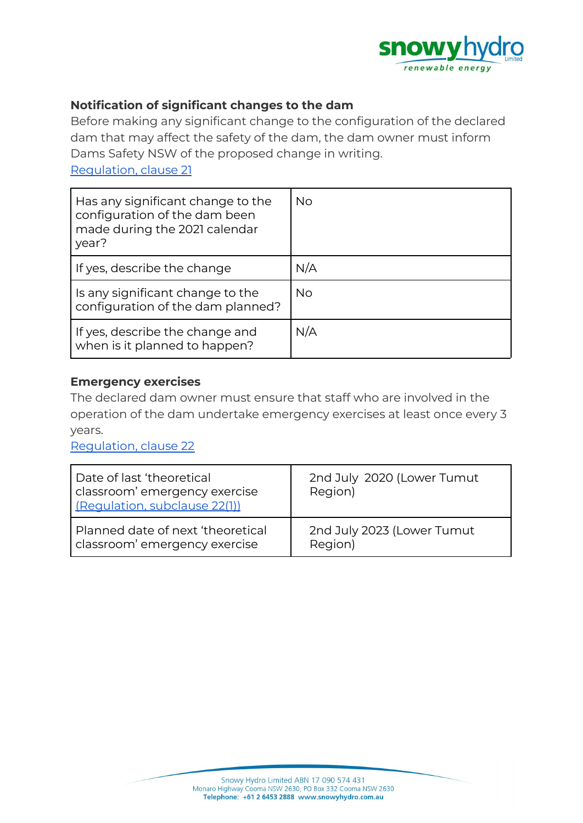

# **Notification of significant changes to the dam**

Before making any significant change to the configuration of the declared dam that may affect the safety of the dam, the dam owner must inform Dams Safety NSW of the proposed change in writing.

[Regulation,](https://legislation.nsw.gov.au/view/html/inforce/current/sl-2019-0506#sec.21) clause 21

| Has any significant change to the<br>configuration of the dam been<br>made during the 2021 calendar<br>year? | <b>No</b> |
|--------------------------------------------------------------------------------------------------------------|-----------|
| If yes, describe the change                                                                                  | N/A       |
| Is any significant change to the<br>configuration of the dam planned?                                        | <b>No</b> |
| If yes, describe the change and<br>when is it planned to happen?                                             | N/A       |

## **Emergency exercises**

The declared dam owner must ensure that staff who are involved in the operation of the dam undertake emergency exercises at least once every 3 years.

[Regulation,](https://legislation.nsw.gov.au/view/html/inforce/current/sl-2019-0506#sec.22) clause 22

| Date of last 'theoretical'<br>classroom' emergency exercise<br>(Regulation, subclause 22(1)) | 2nd July 2020 (Lower Tumut<br>Region) |
|----------------------------------------------------------------------------------------------|---------------------------------------|
| Planned date of next 'theoretical                                                            | 2nd July 2023 (Lower Tumut            |
| classroom' emergency exercise                                                                | Region)                               |